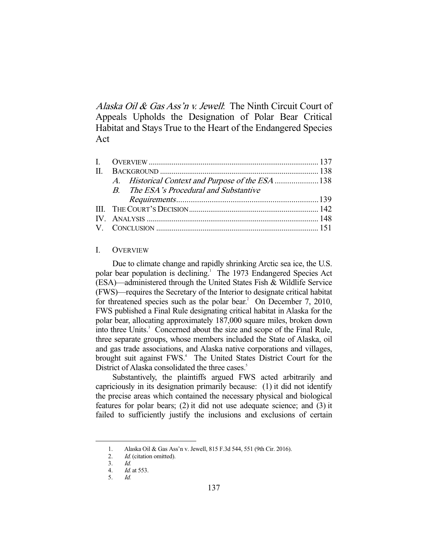Alaska Oil & Gas Ass'n v. Jewell. The Ninth Circuit Court of Appeals Upholds the Designation of Polar Bear Critical Habitat and Stays True to the Heart of the Endangered Species Act

|  | B. The ESA's Procedural and Substantive |  |
|--|-----------------------------------------|--|
|  |                                         |  |
|  |                                         |  |
|  |                                         |  |
|  |                                         |  |
|  |                                         |  |

# I. OVERVIEW

 Due to climate change and rapidly shrinking Arctic sea ice, the U.S. polar bear population is declining.<sup>1</sup> The 1973 Endangered Species Act (ESA)—administered through the United States Fish & Wildlife Service (FWS)—requires the Secretary of the Interior to designate critical habitat for threatened species such as the polar bear.<sup>2</sup> On December 7, 2010, FWS published a Final Rule designating critical habitat in Alaska for the polar bear, allocating approximately 187,000 square miles, broken down into three Units.<sup>3</sup> Concerned about the size and scope of the Final Rule, three separate groups, whose members included the State of Alaska, oil and gas trade associations, and Alaska native corporations and villages, brought suit against FWS.<sup>4</sup> The United States District Court for the District of Alaska consolidated the three cases.<sup>5</sup>

 Substantively, the plaintiffs argued FWS acted arbitrarily and capriciously in its designation primarily because: (1) it did not identify the precise areas which contained the necessary physical and biological features for polar bears; (2) it did not use adequate science; and (3) it failed to sufficiently justify the inclusions and exclusions of certain

 <sup>1.</sup> Alaska Oil & Gas Ass'n v. Jewell, 815 F.3d 544, 551 (9th Cir. 2016).

<sup>2.</sup> *Id.* (citation omitted).

 <sup>3.</sup> Id.

 <sup>4.</sup> Id. at 553.

 <sup>5.</sup> Id.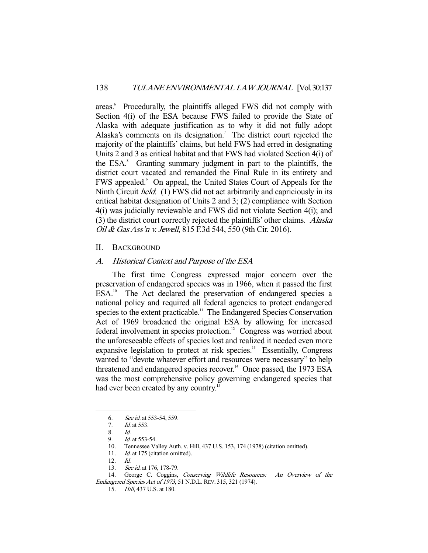areas.<sup>6</sup> Procedurally, the plaintiffs alleged FWS did not comply with Section 4(i) of the ESA because FWS failed to provide the State of Alaska with adequate justification as to why it did not fully adopt Alaska's comments on its designation.<sup>7</sup> The district court rejected the majority of the plaintiffs' claims, but held FWS had erred in designating Units 2 and 3 as critical habitat and that FWS had violated Section 4(i) of the ESA.<sup>8</sup> Granting summary judgment in part to the plaintiffs, the district court vacated and remanded the Final Rule in its entirety and FWS appealed.<sup>9</sup> On appeal, the United States Court of Appeals for the Ninth Circuit *held*: (1) FWS did not act arbitrarily and capriciously in its critical habitat designation of Units 2 and 3; (2) compliance with Section 4(i) was judicially reviewable and FWS did not violate Section 4(i); and (3) the district court correctly rejected the plaintiffs' other claims. Alaska Oil & Gas Ass'n v. Jewell, 815 F.3d 544, 550 (9th Cir. 2016).

#### II. BACKGROUND

# A. Historical Context and Purpose of the ESA

 The first time Congress expressed major concern over the preservation of endangered species was in 1966, when it passed the first ESA.<sup>10</sup> The Act declared the preservation of endangered species a national policy and required all federal agencies to protect endangered species to the extent practicable.<sup>11</sup> The Endangered Species Conservation Act of 1969 broadened the original ESA by allowing for increased federal involvement in species protection.<sup>12</sup> Congress was worried about the unforeseeable effects of species lost and realized it needed even more expansive legislation to protect at risk species.<sup>13</sup> Essentially, Congress wanted to "devote whatever effort and resources were necessary" to help threatened and endangered species recover.<sup>14</sup> Once passed, the 1973 ESA was the most comprehensive policy governing endangered species that had ever been created by any country.<sup>15</sup>

 <sup>6.</sup> See id. at 553-54, 559.

<sup>7.</sup> *Id.* at 553.<br>8 *Id* 

 $\frac{8}{9}$ .

Id. at 553-54.

 <sup>10.</sup> Tennessee Valley Auth. v. Hill, 437 U.S. 153, 174 (1978) (citation omitted).

<sup>11.</sup> *Id.* at 175 (citation omitted).

 <sup>12.</sup> Id.

<sup>13.</sup> See id. at 176, 178-79.

 <sup>14.</sup> George C. Coggins, Conserving Wildlife Resources: An Overview of the Endangered Species Act of 1973, 51 N.D.L. REV. 315, 321 (1974).

 <sup>15.</sup> Hill, 437 U.S. at 180.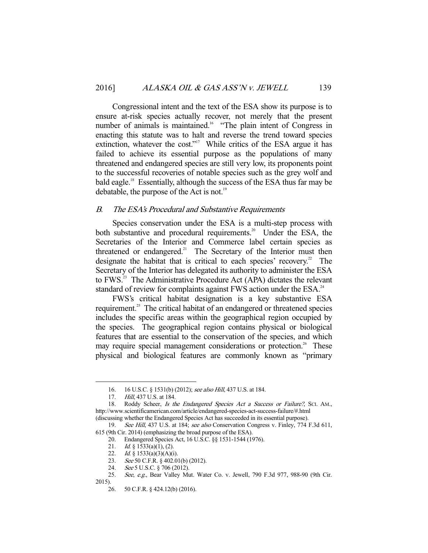Congressional intent and the text of the ESA show its purpose is to ensure at-risk species actually recover, not merely that the present number of animals is maintained.<sup>16</sup> "The plain intent of Congress in enacting this statute was to halt and reverse the trend toward species extinction, whatever the cost."<sup>17</sup> While critics of the ESA argue it has failed to achieve its essential purpose as the populations of many threatened and endangered species are still very low, its proponents point to the successful recoveries of notable species such as the grey wolf and bald eagle.18 Essentially, although the success of the ESA thus far may be debatable, the purpose of the Act is not.<sup>19</sup>

# B. The ESA's Procedural and Substantive Requirements

 Species conservation under the ESA is a multi-step process with both substantive and procedural requirements.<sup>20</sup> Under the ESA, the Secretaries of the Interior and Commerce label certain species as threatened or endangered.<sup>21</sup> The Secretary of the Interior must then designate the habitat that is critical to each species' recovery.<sup>22</sup> The Secretary of the Interior has delegated its authority to administer the ESA to FWS.<sup>23</sup> The Administrative Procedure Act (APA) dictates the relevant standard of review for complaints against FWS action under the ESA.<sup>24</sup>

 FWS's critical habitat designation is a key substantive ESA requirement.<sup>25</sup> The critical habitat of an endangered or threatened species includes the specific areas within the geographical region occupied by the species. The geographical region contains physical or biological features that are essential to the conservation of the species, and which may require special management considerations or protection.<sup>26</sup> These physical and biological features are commonly known as "primary

 <sup>16. 16</sup> U.S.C. § 1531(b) (2012); see also Hill, 437 U.S. at 184.

<sup>17.</sup> *Hill*, 437 U.S. at 184.

<sup>18.</sup> Roddy Scheer, *Is the Endangered Species Act a Success or Failure?*, Sci. AM., http://www.scientificamerican.com/article/endangered-species-act-success-failure/#.html (discussing whether the Endangered Species Act has succeeded in its essential purpose).

<sup>19.</sup> See Hill, 437 U.S. at 184; see also Conservation Congress v. Finley, 774 F.3d 611, 615 (9th Cir. 2014) (emphasizing the broad purpose of the ESA).

 <sup>20.</sup> Endangered Species Act, 16 U.S.C. §§ 1531-1544 (1976).

<sup>21.</sup> *Id.* § 1533(a)(1), (2).

<sup>22.</sup> Id. § 1533(a)(3)(A)(i).

<sup>23.</sup> See 50 C.F.R. § 402.01(b) (2012).

<sup>24.</sup> *See* 5 U.S.C. § 706 (2012).

 <sup>25.</sup> See, e.g., Bear Valley Mut. Water Co. v. Jewell, 790 F.3d 977, 988-90 (9th Cir. 2015).

 <sup>26. 50</sup> C.F.R. § 424.12(b) (2016).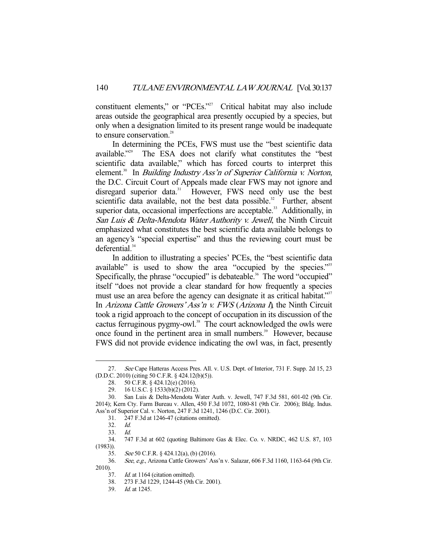constituent elements," or "PCEs."<sup>27</sup> Critical habitat may also include areas outside the geographical area presently occupied by a species, but only when a designation limited to its present range would be inadequate to ensure conservation.<sup>28</sup>

 In determining the PCEs, FWS must use the "best scientific data available."<sup>29</sup> The ESA does not clarify what constitutes the "best" scientific data available," which has forced courts to interpret this element.<sup>30</sup> In *Building Industry Ass'n of Superior California v. Norton*, the D.C. Circuit Court of Appeals made clear FWS may not ignore and disregard superior data.<sup>31</sup> However, FWS need only use the best scientific data available, not the best data possible. $32$  Further, absent superior data, occasional imperfections are acceptable.<sup>33</sup> Additionally, in San Luis & Delta-Mendota Water Authority v. Jewell, the Ninth Circuit emphasized what constitutes the best scientific data available belongs to an agency's "special expertise" and thus the reviewing court must be deferential.<sup>34</sup>

 In addition to illustrating a species' PCEs, the "best scientific data available" is used to show the area "occupied by the species."<sup>35</sup> Specifically, the phrase "occupied" is debateable.<sup>36</sup> The word "occupied" itself "does not provide a clear standard for how frequently a species must use an area before the agency can designate it as critical habitat."<sup>37</sup> In Arizona Cattle Growers' Ass'n v. FWS (Arizona  $I<sub>l</sub>$ , the Ninth Circuit took a rigid approach to the concept of occupation in its discussion of the cactus ferruginous pygmy-owl.<sup>38</sup> The court acknowledged the owls were once found in the pertinent area in small numbers.<sup>39</sup> However, because FWS did not provide evidence indicating the owl was, in fact, presently

-

35. See 50 C.F.R. § 424.12(a), (b) (2016).

 <sup>27.</sup> See Cape Hatteras Access Pres. All. v. U.S. Dept. of Interior, 731 F. Supp. 2d 15, 23 (D.D.C. 2010) (citing 50 C.F.R. § 424.12(b)(5)).

 <sup>28. 50</sup> C.F.R. § 424.12(e) (2016).

 <sup>29. 16</sup> U.S.C. § 1533(b)(2) (2012).

 <sup>30.</sup> San Luis & Delta-Mendota Water Auth. v. Jewell, 747 F.3d 581, 601-02 (9th Cir. 2014); Kern Cty. Farm Bureau v. Allen, 450 F.3d 1072, 1080-81 (9th Cir. 2006); Bldg. Indus. Ass'n of Superior Cal. v. Norton, 247 F.3d 1241, 1246 (D.C. Cir. 2001).

 <sup>31. 247</sup> F.3d at 1246-47 (citations omitted).

<sup>32.</sup> *Id.*<br>33. *Id.* 

 $33.$ 

 <sup>34. 747</sup> F.3d at 602 (quoting Baltimore Gas & Elec. Co. v. NRDC, 462 U.S. 87, 103 (1983)).

 <sup>36.</sup> See, e.g., Arizona Cattle Growers' Ass'n v. Salazar, 606 F.3d 1160, 1163-64 (9th Cir. 2010).

<sup>37.</sup> *Id.* at 1164 (citation omitted).

 <sup>38. 273</sup> F.3d 1229, 1244-45 (9th Cir. 2001).

 <sup>39.</sup> Id. at 1245.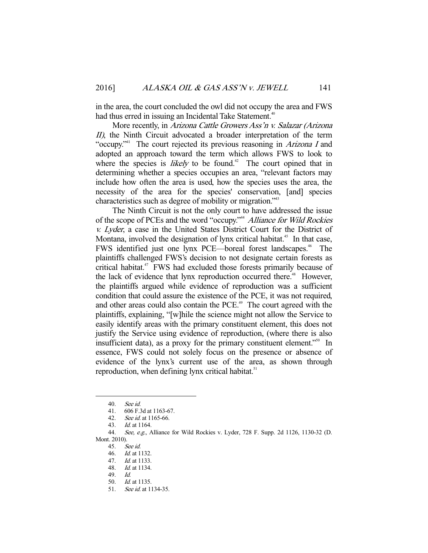in the area, the court concluded the owl did not occupy the area and FWS had thus erred in issuing an Incidental Take Statement.<sup>40</sup>

More recently, in *Arizona Cattle Growers Ass'n v. Salazar (Arizona*  $II$ ), the Ninth Circuit advocated a broader interpretation of the term "occupy."<sup>41</sup> The court rejected its previous reasoning in *Arizona I* and adopted an approach toward the term which allows FWS to look to where the species is *likely* to be found.<sup>42</sup> The court opined that in determining whether a species occupies an area, "relevant factors may include how often the area is used, how the species uses the area, the necessity of the area for the species' conservation, [and] species characteristics such as degree of mobility or migration."43

 The Ninth Circuit is not the only court to have addressed the issue of the scope of PCEs and the word "occupy."<sup>44</sup> Alliance for Wild Rockies v. Lyder, a case in the United States District Court for the District of Montana, involved the designation of lynx critical habitat.<sup>45</sup> In that case, FWS identified just one lynx PCE—boreal forest landscapes.<sup>46</sup> The plaintiffs challenged FWS's decision to not designate certain forests as critical habitat.<sup>47</sup> FWS had excluded those forests primarily because of the lack of evidence that lynx reproduction occurred there.<sup>48</sup> However, the plaintiffs argued while evidence of reproduction was a sufficient condition that could assure the existence of the PCE, it was not required, and other areas could also contain the PCE.<sup>49</sup> The court agreed with the plaintiffs, explaining, "[w]hile the science might not allow the Service to easily identify areas with the primary constituent element, this does not justify the Service using evidence of reproduction, (where there is also insufficient data), as a proxy for the primary constituent element.<sup> $550$ </sup> In essence, FWS could not solely focus on the presence or absence of evidence of the lynx's current use of the area, as shown through reproduction, when defining lynx critical habitat.<sup>51</sup>

-

45. See id.

 <sup>40.</sup> See id.

 <sup>41. 606</sup> F.3d at 1163-67.

 <sup>42.</sup> See id. at 1165-66.

 <sup>43.</sup> Id. at 1164.

 <sup>44.</sup> See, e.g., Alliance for Wild Rockies v. Lyder, 728 F. Supp. 2d 1126, 1130-32 (D. Mont. 2010).

 <sup>46.</sup> Id. at 1132.

 <sup>47.</sup> Id. at 1133.

 <sup>48.</sup> Id. at 1134.

 <sup>49.</sup> Id.

 <sup>50.</sup> Id. at 1135.

<sup>51.</sup> *See id.* at 1134-35.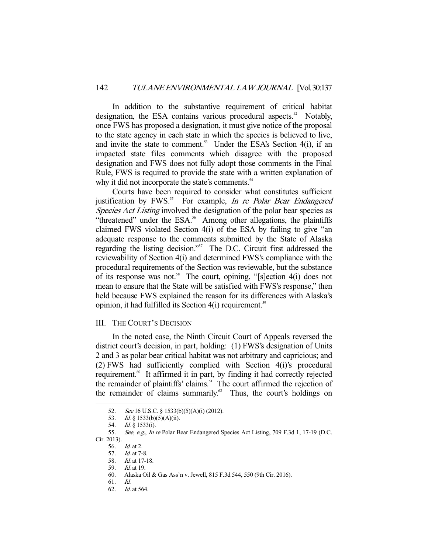In addition to the substantive requirement of critical habitat designation, the ESA contains various procedural aspects.<sup>52</sup> Notably, once FWS has proposed a designation, it must give notice of the proposal to the state agency in each state in which the species is believed to live, and invite the state to comment.<sup>53</sup> Under the ESA's Section  $4(i)$ , if an impacted state files comments which disagree with the proposed designation and FWS does not fully adopt those comments in the Final Rule, FWS is required to provide the state with a written explanation of why it did not incorporate the state's comments.<sup>54</sup>

 Courts have been required to consider what constitutes sufficient justification by FWS.<sup>55</sup> For example, *In re Polar Bear Endangered* Species Act Listing involved the designation of the polar bear species as "threatened" under the  $ESA^{\text{56}}$  Among other allegations, the plaintiffs claimed FWS violated Section 4(i) of the ESA by failing to give "an adequate response to the comments submitted by the State of Alaska regarding the listing decision."57 The D.C. Circuit first addressed the reviewability of Section 4(i) and determined FWS's compliance with the procedural requirements of the Section was reviewable, but the substance of its response was not.<sup>58</sup> The court, opining, "[s]ection  $4(i)$  does not mean to ensure that the State will be satisfied with FWS's response," then held because FWS explained the reason for its differences with Alaska's opinion, it had fulfilled its Section  $4(i)$  requirement.<sup>59</sup>

### III. THE COURT'S DECISION

 In the noted case, the Ninth Circuit Court of Appeals reversed the district court's decision, in part, holding: (1) FWS's designation of Units 2 and 3 as polar bear critical habitat was not arbitrary and capricious; and (2) FWS had sufficiently complied with Section 4(i)'s procedural requirement.<sup>60</sup> It affirmed it in part, by finding it had correctly rejected the remainder of plaintiffs' claims.<sup>61</sup> The court affirmed the rejection of the remainder of claims summarily.<sup>62</sup> Thus, the court's holdings on

Cir. 2013).

 <sup>52.</sup> See 16 U.S.C. § 1533(b)(5)(A)(i) (2012).

<sup>53.</sup> *Id.* § 1533(b)(5)(A)(ii).

 <sup>54.</sup> Id. § 1533(i).

<sup>55.</sup> See, e.g., In re Polar Bear Endangered Species Act Listing, 709 F.3d 1, 17-19 (D.C.

<sup>56.</sup> *Id.* at 2.<br>57. *Id.* at 7-Id. at 7-8.

 <sup>58.</sup> Id. at 17-18. 59. Id. at 19.

 <sup>60.</sup> Alaska Oil & Gas Ass'n v. Jewell, 815 F.3d 544, 550 (9th Cir. 2016).

 <sup>61.</sup> Id.

 <sup>62.</sup> Id. at 564.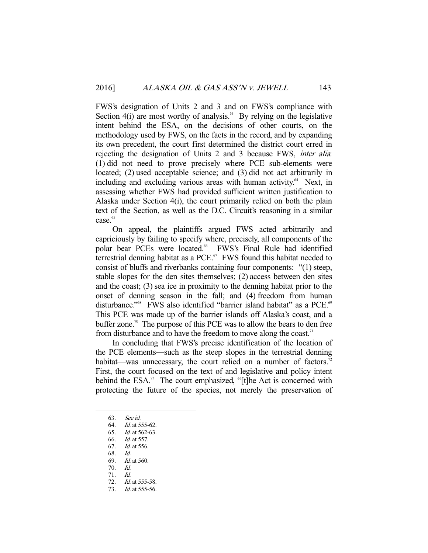FWS's designation of Units 2 and 3 and on FWS's compliance with Section  $4(i)$  are most worthy of analysis.<sup>63</sup> By relying on the legislative intent behind the ESA, on the decisions of other courts, on the methodology used by FWS, on the facts in the record, and by expanding its own precedent, the court first determined the district court erred in rejecting the designation of Units 2 and 3 because FWS, inter alia: (1) did not need to prove precisely where PCE sub-elements were located; (2) used acceptable science; and (3) did not act arbitrarily in including and excluding various areas with human activity.<sup>64</sup> Next, in assessing whether FWS had provided sufficient written justification to Alaska under Section 4(i), the court primarily relied on both the plain text of the Section, as well as the D.C. Circuit's reasoning in a similar case.<sup>65</sup>

 On appeal, the plaintiffs argued FWS acted arbitrarily and capriciously by failing to specify where, precisely, all components of the polar bear PCEs were located.<sup>66</sup> FWS's Final Rule had identified terrestrial denning habitat as a PCE. $67$  FWS found this habitat needed to consist of bluffs and riverbanks containing four components: "(1) steep, stable slopes for the den sites themselves; (2) access between den sites and the coast; (3) sea ice in proximity to the denning habitat prior to the onset of denning season in the fall; and (4) freedom from human disturbance."<sup>68</sup> FWS also identified "barrier island habitat" as a PCE.<sup>69</sup> This PCE was made up of the barrier islands off Alaska's coast, and a buffer zone.<sup>70</sup> The purpose of this PCE was to allow the bears to den free from disturbance and to have the freedom to move along the coast.<sup>71</sup>

 In concluding that FWS's precise identification of the location of the PCE elements—such as the steep slopes in the terrestrial denning habitat—was unnecessary, the court relied on a number of factors.<sup>72</sup> First, the court focused on the text of and legislative and policy intent behind the ESA.<sup>73</sup> The court emphasized, "[t]he Act is concerned with protecting the future of the species, not merely the preservation of

-

70. Id.

 <sup>63.</sup> See id.

 <sup>64.</sup> Id. at 555-62.

 <sup>65.</sup> Id. at 562-63.

 <sup>66.</sup> Id. at 557.

 <sup>67.</sup> Id. at 556.

 <sup>68.</sup> Id.

<sup>69.</sup> *Id.* at 560.

 <sup>71.</sup> Id.

 <sup>72.</sup> Id. at 555-58.

 <sup>73.</sup> Id. at 555-56.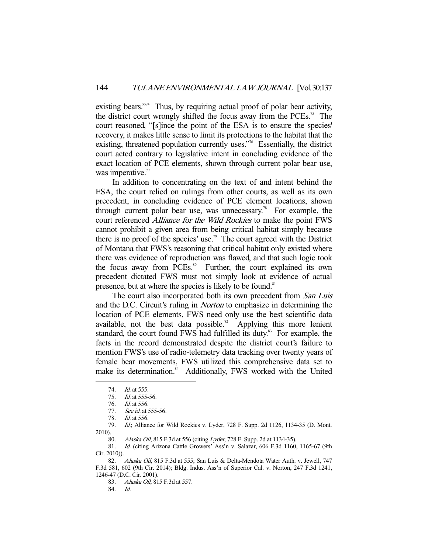existing bears."<sup>74</sup> Thus, by requiring actual proof of polar bear activity, the district court wrongly shifted the focus away from the PCEs.75 The court reasoned, "[s]ince the point of the ESA is to ensure the species' recovery, it makes little sense to limit its protections to the habitat that the existing, threatened population currently uses."<sup>76</sup> Essentially, the district court acted contrary to legislative intent in concluding evidence of the exact location of PCE elements, shown through current polar bear use, was imperative.<sup>77</sup>

 In addition to concentrating on the text of and intent behind the ESA, the court relied on rulings from other courts, as well as its own precedent, in concluding evidence of PCE element locations, shown through current polar bear use, was unnecessary.<sup>78</sup> For example, the court referenced Alliance for the Wild Rockies to make the point FWS cannot prohibit a given area from being critical habitat simply because there is no proof of the species' use.<sup>79</sup> The court agreed with the District of Montana that FWS's reasoning that critical habitat only existed where there was evidence of reproduction was flawed, and that such logic took the focus away from PCEs.<sup>80</sup> Further, the court explained its own precedent dictated FWS must not simply look at evidence of actual presence, but at where the species is likely to be found.<sup>81</sup>

The court also incorporated both its own precedent from San Luis and the D.C. Circuit's ruling in Norton to emphasize in determining the location of PCE elements, FWS need only use the best scientific data available, not the best data possible. $82$  Applying this more lenient standard, the court found FWS had fulfilled its duty.<sup>83</sup> For example, the facts in the record demonstrated despite the district court's failure to mention FWS's use of radio-telemetry data tracking over twenty years of female bear movements, FWS utilized this comprehensive data set to make its determination.<sup>84</sup> Additionally, FWS worked with the United

-

 79. Id.; Alliance for Wild Rockies v. Lyder, 728 F. Supp. 2d 1126, 1134-35 (D. Mont. 2010).

84. Id.

 <sup>74.</sup> Id. at 555.

 <sup>75.</sup> Id. at 555-56.

<sup>76.</sup> *Id.* at 556.

<sup>77.</sup> See id. at 555-56.

 <sup>78.</sup> Id. at 556.

<sup>80.</sup> Alaska Oil, 815 F.3d at 556 (citing Lyder, 728 F. Supp. 2d at 1134-35).

 <sup>81.</sup> Id. (citing Arizona Cattle Growers' Ass'n v. Salazar, 606 F.3d 1160, 1165-67 (9th Cir. 2010)).

<sup>82.</sup> Alaska Oil, 815 F.3d at 555; San Luis & Delta-Mendota Water Auth. v. Jewell, 747 F.3d 581, 602 (9th Cir. 2014); Bldg. Indus. Ass'n of Superior Cal. v. Norton, 247 F.3d 1241, 1246-47 (D.C. Cir. 2001).

<sup>83.</sup> *Alaska Oil*, 815 F.3d at 557.<br>84. *Id.*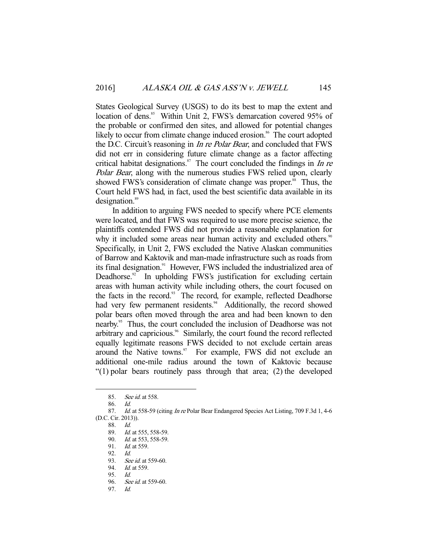States Geological Survey (USGS) to do its best to map the extent and location of dens.<sup>85</sup> Within Unit 2, FWS's demarcation covered 95% of the probable or confirmed den sites, and allowed for potential changes likely to occur from climate change induced erosion.<sup>86</sup> The court adopted the D.C. Circuit's reasoning in In re Polar Bear, and concluded that FWS did not err in considering future climate change as a factor affecting critical habitat designations.<sup>87</sup> The court concluded the findings in *In re* Polar Bear, along with the numerous studies FWS relied upon, clearly showed FWS's consideration of climate change was proper.<sup>88</sup> Thus, the Court held FWS had, in fact, used the best scientific data available in its designation.<sup>89</sup>

 In addition to arguing FWS needed to specify where PCE elements were located, and that FWS was required to use more precise science, the plaintiffs contended FWS did not provide a reasonable explanation for why it included some areas near human activity and excluded others.<sup>90</sup> Specifically, in Unit 2, FWS excluded the Native Alaskan communities of Barrow and Kaktovik and man-made infrastructure such as roads from its final designation.<sup>91</sup> However, FWS included the industrialized area of Deadhorse.<sup>92</sup> In upholding FWS's justification for excluding certain areas with human activity while including others, the court focused on the facts in the record.<sup>93</sup> The record, for example, reflected Deadhorse had very few permanent residents.<sup>94</sup> Additionally, the record showed polar bears often moved through the area and had been known to den nearby.95 Thus, the court concluded the inclusion of Deadhorse was not arbitrary and capricious.<sup>96</sup> Similarly, the court found the record reflected equally legitimate reasons FWS decided to not exclude certain areas around the Native towns.<sup>97</sup> For example, FWS did not exclude an additional one-mile radius around the town of Kaktovic because "(1) polar bears routinely pass through that area; (2) the developed

<sup>85.</sup> See id. at 558.

 <sup>86.</sup> Id.

<sup>87.</sup> Id. at 558-59 (citing In re Polar Bear Endangered Species Act Listing, 709 F.3d 1, 4-6 (D.C. Cir. 2013)).

 <sup>88.</sup> Id.

<sup>89.</sup> *Id.* at 555, 558-59.

<sup>90.</sup> *Id.* at 553, 558-59.

<sup>91.</sup> *Id.* at 559.

 <sup>92.</sup> Id.

<sup>93.</sup> See id. at 559-60.

<sup>94.</sup> *Id.* at 559.

<sup>95.</sup> *Id.*<br>96. *Se* 

See id. at 559-60.

 <sup>97.</sup> Id.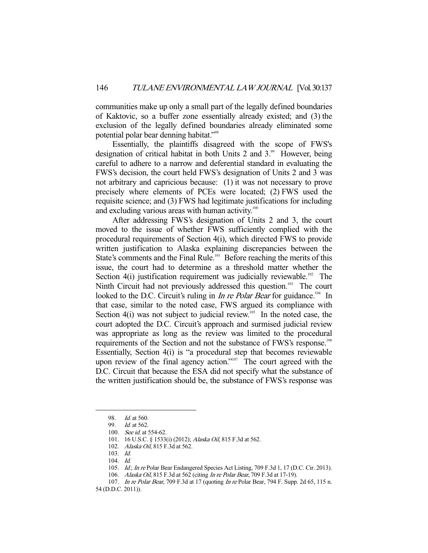communities make up only a small part of the legally defined boundaries of Kaktovic, so a buffer zone essentially already existed; and (3) the exclusion of the legally defined boundaries already eliminated some potential polar bear denning habitat."<sup>98</sup>

 Essentially, the plaintiffs disagreed with the scope of FWS's designation of critical habitat in both Units 2 and  $3.^{\circ\circ}$  However, being careful to adhere to a narrow and deferential standard in evaluating the FWS's decision, the court held FWS's designation of Units 2 and 3 was not arbitrary and capricious because: (1) it was not necessary to prove precisely where elements of PCEs were located; (2) FWS used the requisite science; and (3) FWS had legitimate justifications for including and excluding various areas with human activity.<sup>100</sup>

 After addressing FWS's designation of Units 2 and 3, the court moved to the issue of whether FWS sufficiently complied with the procedural requirements of Section 4(i), which directed FWS to provide written justification to Alaska explaining discrepancies between the State's comments and the Final Rule.<sup>101</sup> Before reaching the merits of this issue, the court had to determine as a threshold matter whether the Section 4(i) justification requirement was judicially reviewable.<sup>102</sup> The Ninth Circuit had not previously addressed this question.<sup>103</sup> The court looked to the D.C. Circuit's ruling in *In re Polar Bear* for guidance.<sup>104</sup> In that case, similar to the noted case, FWS argued its compliance with Section  $4(i)$  was not subject to judicial review.<sup>105</sup> In the noted case, the court adopted the D.C. Circuit's approach and surmised judicial review was appropriate as long as the review was limited to the procedural requirements of the Section and not the substance of FWS's response.106 Essentially, Section 4(i) is "a procedural step that becomes reviewable upon review of the final agency action."<sup>107</sup> The court agreed with the D.C. Circuit that because the ESA did not specify what the substance of the written justification should be, the substance of FWS's response was

 <sup>98.</sup> Id. at 560.

 <sup>99.</sup> Id. at 562.

 <sup>100.</sup> See id. at 554-62.

<sup>101. 16</sup> U.S.C. § 1533(i) (2012); Alaska Oil, 815 F.3d at 562.

<sup>102.</sup> Alaska Oil, 815 F.3d at 562.

 <sup>103.</sup> Id.

 <sup>104.</sup> Id.

<sup>105.</sup> Id.; In re Polar Bear Endangered Species Act Listing, 709 F.3d 1, 17 (D.C. Cir. 2013).

<sup>106.</sup> Alaska Oil, 815 F.3d at 562 (citing In re Polar Bear, 709 F.3d at 17-19).

<sup>107.</sup> In re Polar Bear, 709 F.3d at 17 (quoting In re Polar Bear, 794 F. Supp. 2d 65, 115 n.

<sup>54 (</sup>D.D.C. 2011)).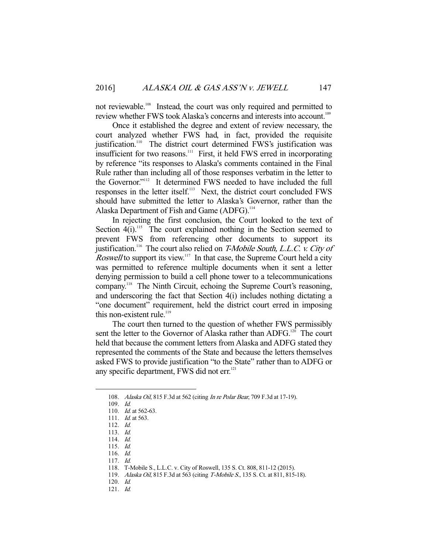not reviewable.<sup>108</sup> Instead, the court was only required and permitted to review whether FWS took Alaska's concerns and interests into account.<sup>109</sup>

 Once it established the degree and extent of review necessary, the court analyzed whether FWS had, in fact, provided the requisite justification.<sup>110</sup> The district court determined FWS's justification was insufficient for two reasons.<sup>111</sup> First, it held FWS erred in incorporating by reference "its responses to Alaska's comments contained in the Final Rule rather than including all of those responses verbatim in the letter to the Governor."<sup>112</sup> It determined FWS needed to have included the full responses in the letter itself.<sup>113</sup> Next, the district court concluded FWS should have submitted the letter to Alaska's Governor, rather than the Alaska Department of Fish and Game (ADFG).<sup>114</sup>

 In rejecting the first conclusion, the Court looked to the text of Section  $4(i)$ .<sup>115</sup> The court explained nothing in the Section seemed to prevent FWS from referencing other documents to support its justification.<sup>116</sup> The court also relied on *T-Mobile South, L.L.C. v. City of* Roswell to support its view.<sup>117</sup> In that case, the Supreme Court held a city was permitted to reference multiple documents when it sent a letter denying permission to build a cell phone tower to a telecommunications company.<sup>118</sup> The Ninth Circuit, echoing the Supreme Court's reasoning, and underscoring the fact that Section 4(i) includes nothing dictating a "one document" requirement, held the district court erred in imposing this non-existent rule.<sup>119</sup>

 The court then turned to the question of whether FWS permissibly sent the letter to the Governor of Alaska rather than ADFG.<sup>120</sup> The court held that because the comment letters from Alaska and ADFG stated they represented the comments of the State and because the letters themselves asked FWS to provide justification "to the State" rather than to ADFG or any specific department, FWS did not err.<sup>121</sup>

<sup>108.</sup> Alaska Oil, 815 F.3d at 562 (citing In re Polar Bear, 709 F.3d at 17-19).

 <sup>109.</sup> Id.

<sup>110.</sup> *Id.* at 562-63.

<sup>111.</sup> *Id.* at 563.

 <sup>112.</sup> Id.

 <sup>113.</sup> Id.

 <sup>114.</sup> Id.

 <sup>115.</sup> Id.

 <sup>116.</sup> Id.

 <sup>117.</sup> Id.

 <sup>118.</sup> T-Mobile S., L.L.C. v. City of Roswell, 135 S. Ct. 808, 811-12 (2015).

<sup>119.</sup> Alaska Oil, 815 F.3d at 563 (citing T-Mobile S., 135 S. Ct. at 811, 815-18).

 <sup>120.</sup> Id.

 <sup>121.</sup> Id.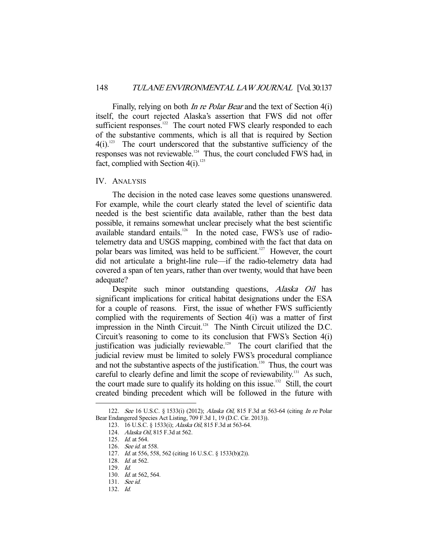Finally, relying on both *In re Polar Bear* and the text of Section 4(i) itself, the court rejected Alaska's assertion that FWS did not offer sufficient responses.<sup>122</sup> The court noted FWS clearly responded to each of the substantive comments, which is all that is required by Section  $4(i).$ <sup>123</sup> The court underscored that the substantive sufficiency of the responses was not reviewable.<sup>124</sup> Thus, the court concluded FWS had, in fact, complied with Section  $4(i).^{125}$ 

#### IV. ANALYSIS

 The decision in the noted case leaves some questions unanswered. For example, while the court clearly stated the level of scientific data needed is the best scientific data available, rather than the best data possible, it remains somewhat unclear precisely what the best scientific available standard entails.<sup>126</sup> In the noted case, FWS's use of radiotelemetry data and USGS mapping, combined with the fact that data on polar bears was limited, was held to be sufficient.<sup>127</sup> However, the court did not articulate a bright-line rule—if the radio-telemetry data had covered a span of ten years, rather than over twenty, would that have been adequate?

Despite such minor outstanding questions, *Alaska Oil* has significant implications for critical habitat designations under the ESA for a couple of reasons. First, the issue of whether FWS sufficiently complied with the requirements of Section 4(i) was a matter of first impression in the Ninth Circuit.<sup>128</sup> The Ninth Circuit utilized the D.C. Circuit's reasoning to come to its conclusion that FWS's Section 4(i) justification was judicially reviewable.<sup>129</sup> The court clarified that the judicial review must be limited to solely FWS's procedural compliance and not the substantive aspects of the justification.<sup>130</sup> Thus, the court was careful to clearly define and limit the scope of reviewability.<sup>131</sup> As such, the court made sure to qualify its holding on this issue.<sup>132</sup> Still, the court created binding precedent which will be followed in the future with

<sup>122.</sup> See 16 U.S.C. § 1533(i) (2012); Alaska Oil, 815 F.3d at 563-64 (citing In re Polar Bear Endangered Species Act Listing, 709 F.3d 1, 19 (D.C. Cir. 2013)).

 <sup>123. 16</sup> U.S.C. § 1533(i); Alaska Oil, 815 F.3d at 563-64.

<sup>124.</sup> Alaska Oil, 815 F.3d at 562.

 <sup>125.</sup> Id. at 564.

<sup>126.</sup> *See id.* at 558.

 <sup>127.</sup> Id. at 556, 558, 562 (citing 16 U.S.C. § 1533(b)(2)).

 <sup>128.</sup> Id. at 562.

 <sup>129.</sup> Id.

<sup>130.</sup> *Id.* at 562, 564.

 <sup>131.</sup> See id.

 <sup>132.</sup> Id.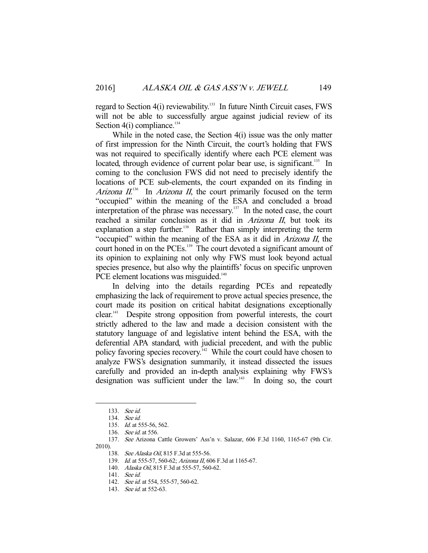regard to Section 4(i) reviewability.<sup>133</sup> In future Ninth Circuit cases, FWS will not be able to successfully argue against judicial review of its Section  $4(i)$  compliance.<sup>134</sup>

 While in the noted case, the Section 4(i) issue was the only matter of first impression for the Ninth Circuit, the court's holding that FWS was not required to specifically identify where each PCE element was located, through evidence of current polar bear use, is significant.<sup>135</sup> In coming to the conclusion FWS did not need to precisely identify the locations of PCE sub-elements, the court expanded on its finding in Arizona  $II^{136}$  In Arizona II, the court primarily focused on the term "occupied" within the meaning of the ESA and concluded a broad interpretation of the phrase was necessary.<sup>137</sup> In the noted case, the court reached a similar conclusion as it did in *Arizona II*, but took its explanation a step further.<sup>138</sup> Rather than simply interpreting the term "occupied" within the meaning of the ESA as it did in Arizona II, the court honed in on the PCEs.<sup>139</sup> The court devoted a significant amount of its opinion to explaining not only why FWS must look beyond actual species presence, but also why the plaintiffs' focus on specific unproven PCE element locations was misguided.<sup>140</sup>

 In delving into the details regarding PCEs and repeatedly emphasizing the lack of requirement to prove actual species presence, the court made its position on critical habitat designations exceptionally clear.141 Despite strong opposition from powerful interests, the court strictly adhered to the law and made a decision consistent with the statutory language of and legislative intent behind the ESA, with the deferential APA standard, with judicial precedent, and with the public policy favoring species recovery.<sup>142</sup> While the court could have chosen to analyze FWS's designation summarily, it instead dissected the issues carefully and provided an in-depth analysis explaining why FWS's designation was sufficient under the law.<sup>143</sup> In doing so, the court

-

138. See Alaska Oil, 815 F.3d at 555-56.

139. Id. at 555-57, 560-62; Arizona II, 606 F.3d at 1165-67.

 <sup>133.</sup> See id.

 <sup>134.</sup> See id.

<sup>135.</sup> *Id.* at 555-56, 562.

 <sup>136.</sup> See id. at 556.

 <sup>137.</sup> See Arizona Cattle Growers' Ass'n v. Salazar, 606 F.3d 1160, 1165-67 (9th Cir. 2010).

<sup>140.</sup> Alaska Oil, 815 F.3d at 555-57, 560-62.

 <sup>141.</sup> See id.

<sup>142.</sup> See id. at 554, 555-57, 560-62.

<sup>143.</sup> *See id.* at 552-63.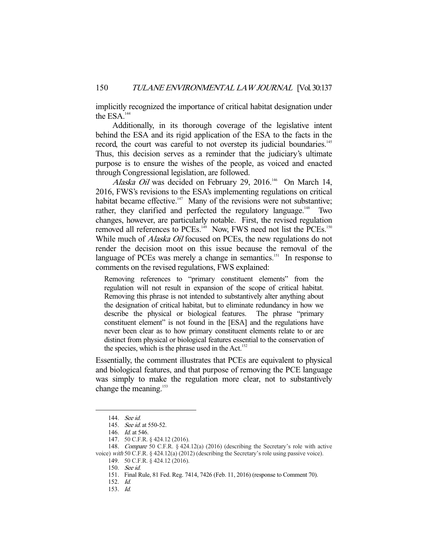implicitly recognized the importance of critical habitat designation under the ESA.<sup>144</sup>

 Additionally, in its thorough coverage of the legislative intent behind the ESA and its rigid application of the ESA to the facts in the record, the court was careful to not overstep its judicial boundaries.<sup>145</sup> Thus, this decision serves as a reminder that the judiciary's ultimate purpose is to ensure the wishes of the people, as voiced and enacted through Congressional legislation, are followed.

Alaska Oil was decided on February 29, 2016.<sup>146</sup> On March 14, 2016, FWS's revisions to the ESA's implementing regulations on critical habitat became effective.<sup>147</sup> Many of the revisions were not substantive; rather, they clarified and perfected the regulatory language.<sup>148</sup> Two changes, however, are particularly notable. First, the revised regulation removed all references to PCEs.<sup>149</sup> Now, FWS need not list the PCEs.<sup>150</sup> While much of *Alaska Oil* focused on PCEs, the new regulations do not render the decision moot on this issue because the removal of the language of PCEs was merely a change in semantics.<sup>151</sup> In response to comments on the revised regulations, FWS explained:

Removing references to "primary constituent elements" from the regulation will not result in expansion of the scope of critical habitat. Removing this phrase is not intended to substantively alter anything about the designation of critical habitat, but to eliminate redundancy in how we describe the physical or biological features. The phrase "primary constituent element" is not found in the [ESA] and the regulations have never been clear as to how primary constituent elements relate to or are distinct from physical or biological features essential to the conservation of the species, which is the phrase used in the Act.<sup>152</sup>

Essentially, the comment illustrates that PCEs are equivalent to physical and biological features, and that purpose of removing the PCE language was simply to make the regulation more clear, not to substantively change the meaning.<sup>153</sup>

 <sup>144.</sup> See id.

 <sup>145.</sup> See id. at 550-52.

 <sup>146.</sup> Id. at 546.

 <sup>147. 50</sup> C.F.R. § 424.12 (2016).

 <sup>148.</sup> Compare 50 C.F.R. § 424.12(a) (2016) (describing the Secretary's role with active voice) with 50 C.F.R. § 424.12(a) (2012) (describing the Secretary's role using passive voice).

 <sup>149. 50</sup> C.F.R. § 424.12 (2016).

 <sup>150.</sup> See id.

 <sup>151.</sup> Final Rule, 81 Fed. Reg. 7414, 7426 (Feb. 11, 2016) (response to Comment 70).

 <sup>152.</sup> Id.

 <sup>153.</sup> Id.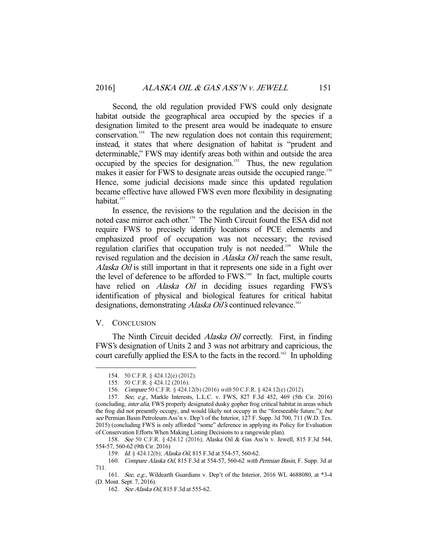Second, the old regulation provided FWS could only designate habitat outside the geographical area occupied by the species if a designation limited to the present area would be inadequate to ensure conservation.<sup>154</sup> The new regulation does not contain this requirement; instead, it states that where designation of habitat is "prudent and determinable," FWS may identify areas both within and outside the area occupied by the species for designation.<sup>155</sup> Thus, the new regulation makes it easier for FWS to designate areas outside the occupied range.<sup>156</sup> Hence, some judicial decisions made since this updated regulation became effective have allowed FWS even more flexibility in designating habitat.<sup>157</sup>

 In essence, the revisions to the regulation and the decision in the noted case mirror each other.<sup>158</sup> The Ninth Circuit found the ESA did not require FWS to precisely identify locations of PCE elements and emphasized proof of occupation was not necessary; the revised regulation clarifies that occupation truly is not needed.<sup>159</sup> While the revised regulation and the decision in *Alaska Oil* reach the same result, Alaska Oil is still important in that it represents one side in a fight over the level of deference to be afforded to FWS.<sup>160</sup> In fact, multiple courts have relied on *Alaska Oil* in deciding issues regarding FWS's identification of physical and biological features for critical habitat designations, demonstrating *Alaska Oil's* continued relevance.<sup>161</sup>

### V. CONCLUSION

-

The Ninth Circuit decided *Alaska Oil* correctly. First, in finding FWS's designation of Units 2 and 3 was not arbitrary and capricious, the court carefully applied the ESA to the facts in the record.<sup>162</sup> In upholding

 158. See 50 C.F.R. § 424.12 (2016); Alaska Oil & Gas Ass'n v. Jewell, 815 F.3d 544, 554-57, 560-62 (9th Cir. 2016)

 <sup>154. 50</sup> C.F.R. § 424.12(e) (2012).

 <sup>155. 50</sup> C.F.R. § 424.12 (2016).

 <sup>156.</sup> Compare 50 C.F.R. § 424.12(b) (2016) with 50 C.F.R. § 424.12(e) (2012).

 <sup>157.</sup> See, e.g., Markle Interests, L.L.C. v. FWS, 827 F.3d 452, 469 (5th Cir. 2016) (concluding, inter alia, FWS properly designated dusky gopher frog critical habitat in areas which the frog did not presently occupy, and would likely not occupy in the "foreseeable future."); but see Permian Basin Petroleum Ass'n v. Dep't of the Interior, 127 F. Supp. 3d 700, 711 (W.D. Tex. 2015) (concluding FWS is only afforded "some" deference in applying its Policy for Evaluation of Conservation Efforts When Making Listing Decisions to a rangewide plan).

<sup>159.</sup> *Id.* § 424.12(b); *Alaska Oil*, 815 F.3d at 554-57, 560-62.

 <sup>160.</sup> Compare Alaska Oil, 815 F.3d at 554-57, 560-62 with Permian Basin, F. Supp. 3d at 711.

 <sup>161.</sup> See, e.g., Wildearth Guardians v. Dep't of the Interior, 2016 WL 4688080, at \*3-4 (D. Mont. Sept. 7, 2016).

<sup>162.</sup> See Alaska Oil, 815 F.3d at 555-62.